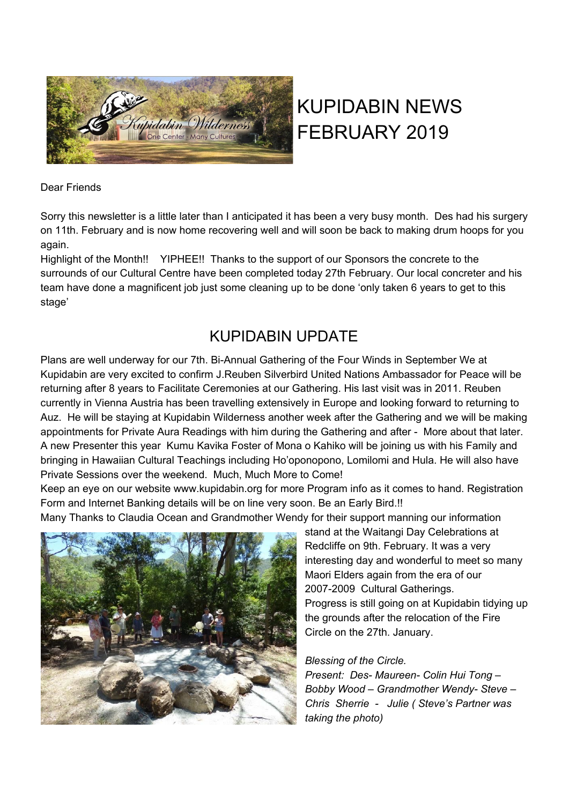

# KUPIDABIN NEWS FEBRUARY 2019

### Dear Friends

Sorry this newsletter is a little later than I anticipated it has been a very busy month. Des had his surgery on 11th. February and is now home recovering well and will soon be back to making drum hoops for you again.

Highlight of the Month!! YIPHEE!! Thanks to the support of our Sponsors the concrete to the surrounds of our Cultural Centre have been completed today 27th February. Our local concreter and his team have done a magnificent job just some cleaning up to be done 'only taken 6 years to get to this stage'

# KUPIDABIN UPDATE

Plans are well underway for our 7th. Bi-Annual Gathering of the Four Winds in September We at Kupidabin are very excited to confirm J.Reuben Silverbird United Nations Ambassador for Peace will be returning after 8 years to Facilitate Ceremonies at our Gathering. His last visit was in 2011. Reuben currently in Vienna Austria has been travelling extensively in Europe and looking forward to returning to Auz. He will be staying at Kupidabin Wilderness another week after the Gathering and we will be making appointments for Private Aura Readings with him during the Gathering and after - More about that later. A new Presenter this year Kumu Kavika Foster of Mona o Kahiko will be joining us with his Family and bringing in Hawaiian Cultural Teachings including Ho'oponopono, Lomilomi and Hula. He will also have Private Sessions over the weekend. Much, Much More to Come!

Keep an eye on our website www.kupidabin.org for more Program info as it comes to hand. Registration Form and Internet Banking details will be on line very soon. Be an Early Bird.!!

Many Thanks to Claudia Ocean and Grandmother Wendy for their support manning our information



stand at the Waitangi Day Celebrations at Redcliffe on 9th. February. It was a very interesting day and wonderful to meet so many Maori Elders again from the era of our 2007-2009 Cultural Gatherings. Progress is still going on at Kupidabin tidying up the grounds after the relocation of the Fire Circle on the 27th. January.

### *Blessing of the Circle.*

*Present: Des- Maureen- Colin Hui Tong – Bobby Wood – Grandmother Wendy- Steve – Chris Sherrie - Julie ( Steve's Partner was taking the photo)*